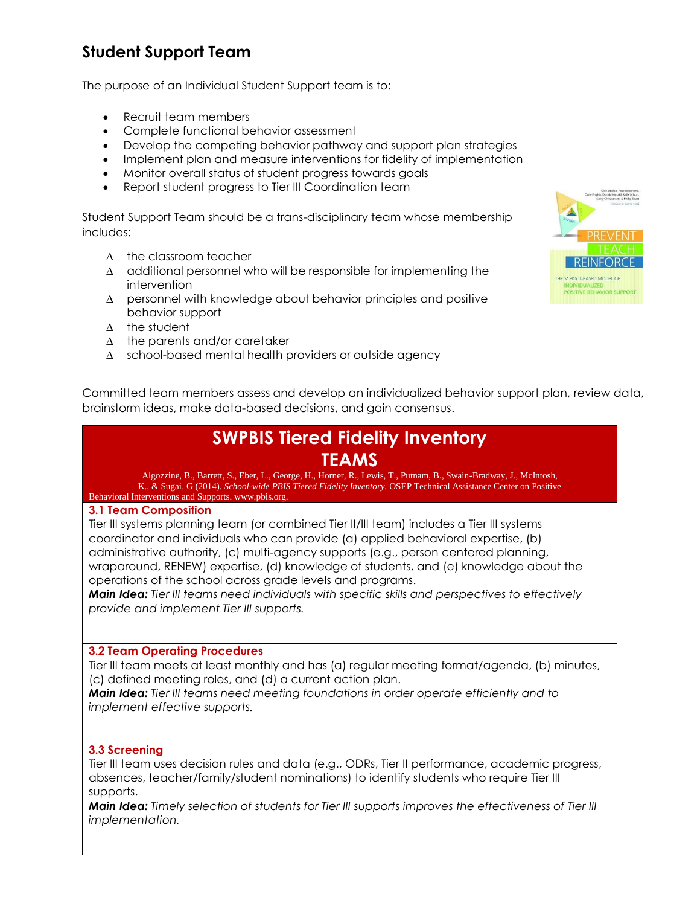# **Student Support Team**

The purpose of an Individual Student Support team is to:

- Recruit team members
- Complete functional behavior assessment
- Develop the competing behavior pathway and support plan strategies
- Implement plan and measure interventions for fidelity of implementation
- Monitor overall status of student progress towards goals
- Report student progress to Tier III Coordination team

Student Support Team should be a trans-disciplinary team whose membership includes:

- ∆ the classroom teacher
- ∆ additional personnel who will be responsible for implementing the intervention
- ∆ personnel with knowledge about behavior principles and positive behavior support
- ∆ the student
- ∆ the parents and/or caretaker
- ∆ school-based mental health providers or outside agency



Committed team members assess and develop an individualized behavior support plan, review data, brainstorm ideas, make data-based decisions, and gain consensus.

## **SWPBIS Tiered Fidelity Inventory TEAMS**

Algozzine, B., Barrett, S., Eber, L., George, H., Horner, R., Lewis, T., Putnam, B., Swain-Bradway, J., McIntosh, K., & Sugai, G (2014). *School-wide PBIS Tiered Fidelity Inventory.* OSEP Technical Assistance Center on Positive Behavioral Interventions and Supports. www.pbis.org.

## **3.1 Team Composition**

Tier III systems planning team (or combined Tier II/III team) includes a Tier III systems coordinator and individuals who can provide (a) applied behavioral expertise, (b) administrative authority, (c) multi-agency supports (e.g., person centered planning, wraparound, RENEW) expertise, (d) knowledge of students, and (e) knowledge about the operations of the school across grade levels and programs.

*Main Idea: Tier III teams need individuals with specific skills and perspectives to effectively provide and implement Tier III supports.*

## **3.2 Team Operating Procedures**

Tier III team meets at least monthly and has (a) regular meeting format/agenda, (b) minutes, (c) defined meeting roles, and (d) a current action plan.

*Main Idea: Tier III teams need meeting foundations in order operate efficiently and to implement effective supports.*

#### **3.3 Screening**

Tier III team uses decision rules and data (e.g., ODRs, Tier II performance, academic progress, absences, teacher/family/student nominations) to identify students who require Tier III supports.

*Main Idea: Timely selection of students for Tier III supports improves the effectiveness of Tier III implementation.*